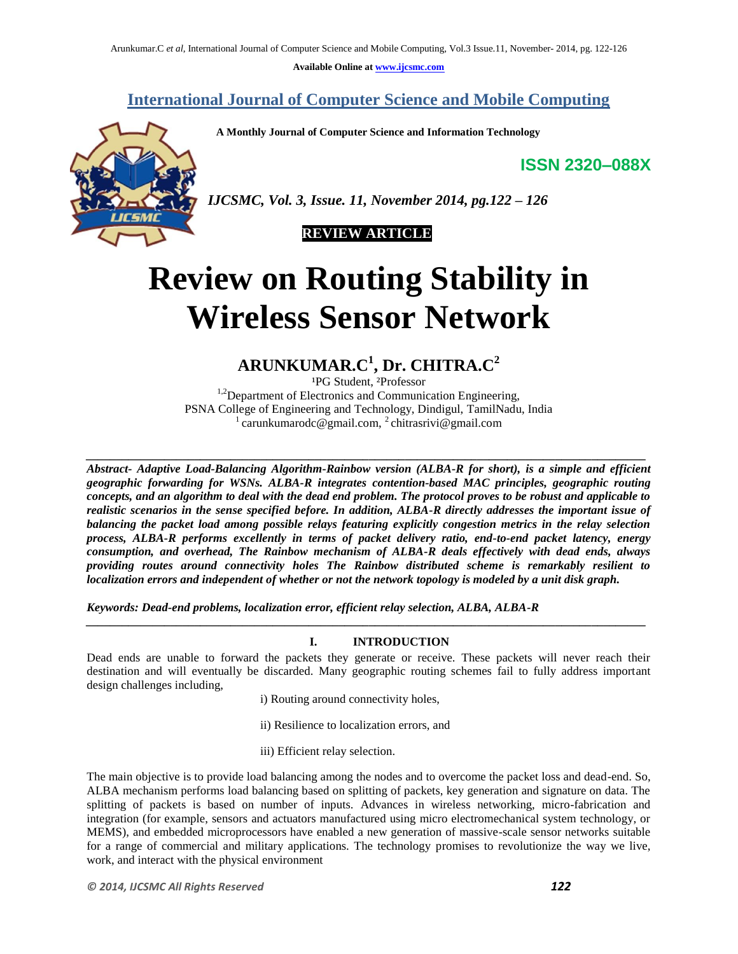**Available Online at www.ijcsmc.com**

## **International Journal of Computer Science and Mobile Computing**

 **A Monthly Journal of Computer Science and Information Technology**

**ISSN 2320–088X**



*IJCSMC, Vol. 3, Issue. 11, November 2014, pg.122 – 126*

## **REVIEW ARTICLE**

# **Review on Routing Stability in Wireless Sensor Network**

# **ARUNKUMAR.C<sup>1</sup> , Dr. CHITRA.C<sup>2</sup>**

<sup>1</sup>PG Student, <sup>2</sup>Professor  $1,2$ Department of Electronics and Communication Engineering, PSNA College of Engineering and Technology, Dindigul, TamilNadu, India  $\frac{1}{2}$ carunkumarodc@gmail.com,  $\frac{2}{2}$ chitrasrivi@gmail.com

*\_\_\_\_\_\_\_\_\_\_\_\_\_\_\_\_\_\_\_\_\_\_\_\_\_\_\_\_\_\_\_\_\_\_\_\_\_\_\_\_\_\_\_\_\_\_\_\_\_\_\_\_\_\_\_\_\_\_\_\_\_\_\_\_\_\_\_\_\_\_\_\_\_\_\_\_\_\_\_\_\_\_\_\_\_\_\_\_\_\_\_\_\_*

*Abstract- Adaptive Load-Balancing Algorithm-Rainbow version (ALBA-R for short), is a simple and efficient geographic forwarding for WSNs. ALBA-R integrates contention-based MAC principles, geographic routing concepts, and an algorithm to deal with the dead end problem. The protocol proves to be robust and applicable to realistic scenarios in the sense specified before. In addition, ALBA-R directly addresses the important issue of balancing the packet load among possible relays featuring explicitly congestion metrics in the relay selection process, ALBA-R performs excellently in terms of packet delivery ratio, end-to-end packet latency, energy consumption, and overhead, The Rainbow mechanism of ALBA-R deals effectively with dead ends, always providing routes around connectivity holes The Rainbow distributed scheme is remarkably resilient to localization errors and independent of whether or not the network topology is modeled by a unit disk graph.*

*Keywords: Dead-end problems, localization error, efficient relay selection, ALBA, ALBA-R* 

#### **I. INTRODUCTION**

Dead ends are unable to forward the packets they generate or receive. These packets will never reach their destination and will eventually be discarded. Many geographic routing schemes fail to fully address important design challenges including,

*\_\_\_\_\_\_\_\_\_\_\_\_\_\_\_\_\_\_\_\_\_\_\_\_\_\_\_\_\_\_\_\_\_\_\_\_\_\_\_\_\_\_\_\_\_\_\_\_\_\_\_\_\_\_\_\_\_\_\_\_\_\_\_\_\_\_\_\_\_\_\_\_\_\_\_\_\_\_\_\_\_\_\_\_\_\_\_\_\_\_\_\_\_* 

- i) Routing around connectivity holes,
- ii) Resilience to localization errors, and
- iii) Efficient relay selection.

The main objective is to provide load balancing among the nodes and to overcome the packet loss and dead-end. So, ALBA mechanism performs load balancing based on splitting of packets, key generation and signature on data. The splitting of packets is based on number of inputs. Advances in wireless networking, micro-fabrication and integration (for example, sensors and actuators manufactured using micro electromechanical system technology, or MEMS), and embedded microprocessors have enabled a new generation of massive-scale sensor networks suitable for a range of commercial and military applications. The technology promises to revolutionize the way we live, work, and interact with the physical environment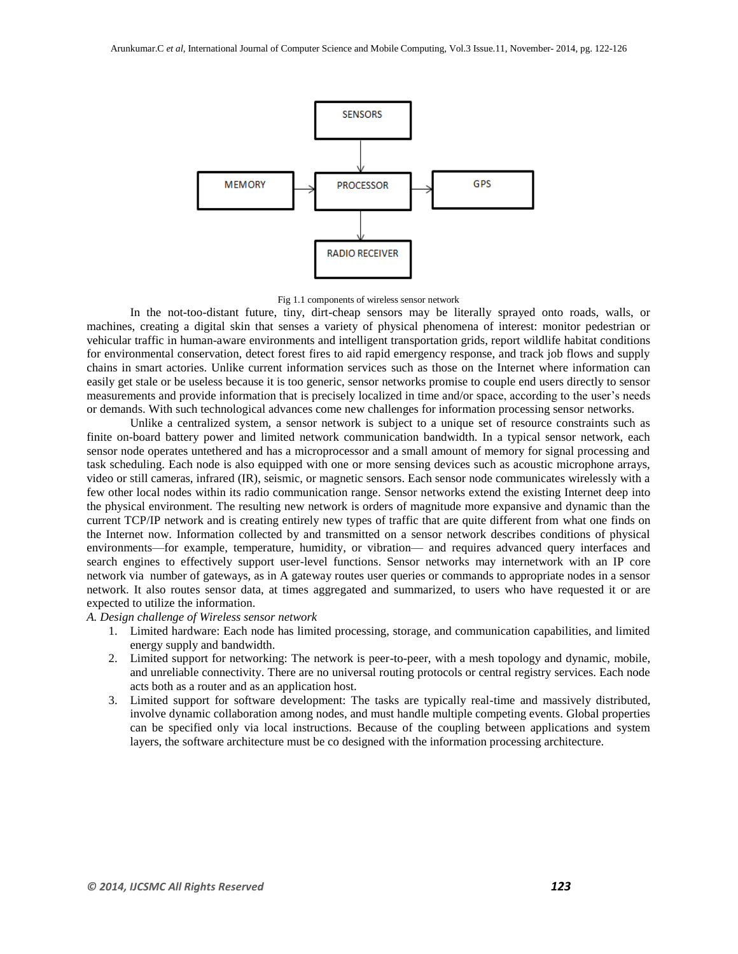



In the not-too-distant future, tiny, dirt-cheap sensors may be literally sprayed onto roads, walls, or machines, creating a digital skin that senses a variety of physical phenomena of interest: monitor pedestrian or vehicular traffic in human-aware environments and intelligent transportation grids, report wildlife habitat conditions for environmental conservation, detect forest fires to aid rapid emergency response, and track job flows and supply chains in smart actories. Unlike current information services such as those on the Internet where information can easily get stale or be useless because it is too generic, sensor networks promise to couple end users directly to sensor measurements and provide information that is precisely localized in time and/or space, according to the user's needs or demands. With such technological advances come new challenges for information processing sensor networks.

Unlike a centralized system, a sensor network is subject to a unique set of resource constraints such as finite on-board battery power and limited network communication bandwidth. In a typical sensor network, each sensor node operates untethered and has a microprocessor and a small amount of memory for signal processing and task scheduling. Each node is also equipped with one or more sensing devices such as acoustic microphone arrays, video or still cameras, infrared (IR), seismic, or magnetic sensors. Each sensor node communicates wirelessly with a few other local nodes within its radio communication range. Sensor networks extend the existing Internet deep into the physical environment. The resulting new network is orders of magnitude more expansive and dynamic than the current TCP/IP network and is creating entirely new types of traffic that are quite different from what one finds on the Internet now. Information collected by and transmitted on a sensor network describes conditions of physical environments—for example, temperature, humidity, or vibration— and requires advanced query interfaces and search engines to effectively support user-level functions. Sensor networks may internetwork with an IP core network via number of gateways, as in A gateway routes user queries or commands to appropriate nodes in a sensor network. It also routes sensor data, at times aggregated and summarized, to users who have requested it or are expected to utilize the information.

*A. Design challenge of Wireless sensor network*

- 1. Limited hardware: Each node has limited processing, storage, and communication capabilities, and limited energy supply and bandwidth.
- 2. Limited support for networking: The network is peer-to-peer, with a mesh topology and dynamic, mobile, and unreliable connectivity. There are no universal routing protocols or central registry services. Each node acts both as a router and as an application host.
- 3. Limited support for software development: The tasks are typically real-time and massively distributed, involve dynamic collaboration among nodes, and must handle multiple competing events. Global properties can be specified only via local instructions. Because of the coupling between applications and system layers, the software architecture must be co designed with the information processing architecture.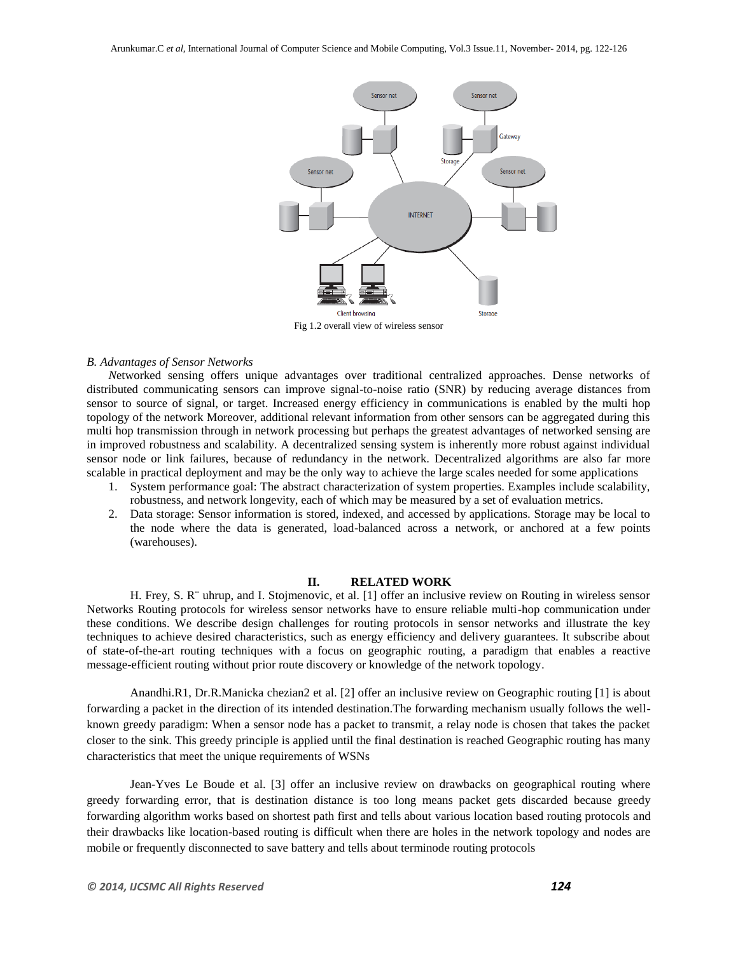

#### *B. Advantages of Sensor Networks*

*N*etworked sensing offers unique advantages over traditional centralized approaches. Dense networks of distributed communicating sensors can improve signal-to-noise ratio (SNR) by reducing average distances from sensor to source of signal, or target. Increased energy efficiency in communications is enabled by the multi hop topology of the network Moreover, additional relevant information from other sensors can be aggregated during this multi hop transmission through in network processing but perhaps the greatest advantages of networked sensing are in improved robustness and scalability. A decentralized sensing system is inherently more robust against individual sensor node or link failures, because of redundancy in the network. Decentralized algorithms are also far more scalable in practical deployment and may be the only way to achieve the large scales needed for some applications

- 1. System performance goal: The abstract characterization of system properties. Examples include scalability, robustness, and network longevity, each of which may be measured by a set of evaluation metrics.
- 2. Data storage: Sensor information is stored, indexed, and accessed by applications. Storage may be local to the node where the data is generated, load-balanced across a network, or anchored at a few points (warehouses).

#### **II. RELATED WORK**

H. Frey, S. R¨ uhrup, and I. Stojmenovic, et al. [1] offer an inclusive review on Routing in wireless sensor Networks Routing protocols for wireless sensor networks have to ensure reliable multi-hop communication under these conditions. We describe design challenges for routing protocols in sensor networks and illustrate the key techniques to achieve desired characteristics, such as energy efficiency and delivery guarantees. It subscribe about of state-of-the-art routing techniques with a focus on geographic routing, a paradigm that enables a reactive message-efficient routing without prior route discovery or knowledge of the network topology.

Anandhi.R1, Dr.R.Manicka chezian2 et al. [2] offer an inclusive review on Geographic routing [1] is about forwarding a packet in the direction of its intended destination.The forwarding mechanism usually follows the wellknown greedy paradigm: When a sensor node has a packet to transmit, a relay node is chosen that takes the packet closer to the sink. This greedy principle is applied until the final destination is reached Geographic routing has many characteristics that meet the unique requirements of WSNs

Jean-Yves Le Boude et al. [3] offer an inclusive review on drawbacks on geographical routing where greedy forwarding error, that is destination distance is too long means packet gets discarded because greedy forwarding algorithm works based on shortest path first and tells about various location based routing protocols and their drawbacks like location-based routing is difficult when there are holes in the network topology and nodes are mobile or frequently disconnected to save battery and tells about terminode routing protocols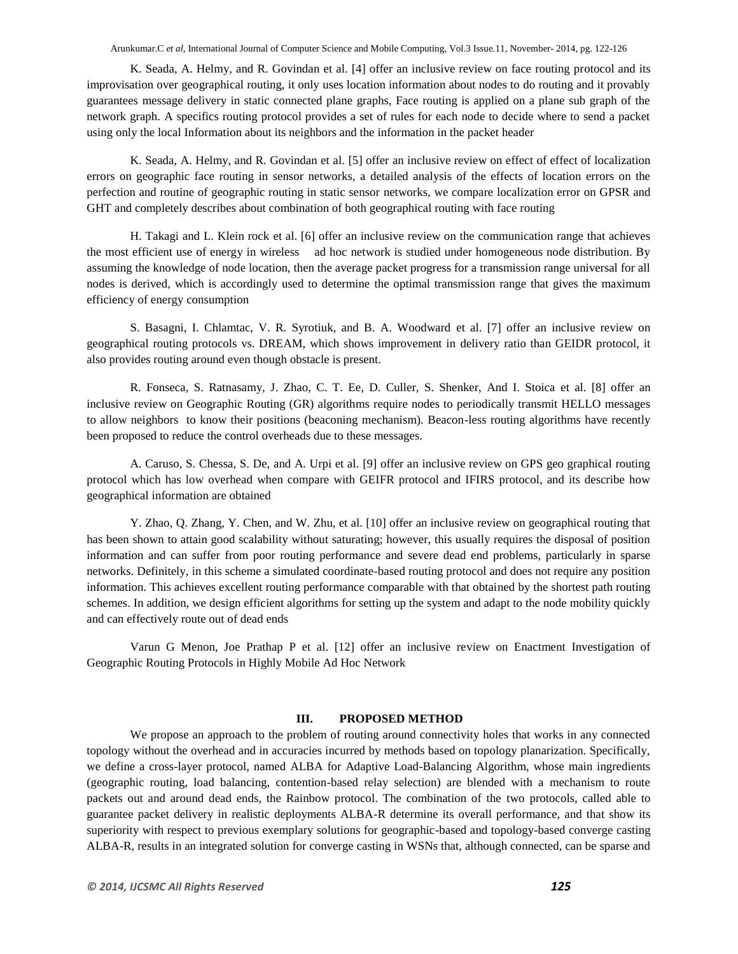#### Arunkumar.C *et al*, International Journal of Computer Science and Mobile Computing, Vol.3 Issue.11, November- 2014, pg. 122-126

K. Seada, A. Helmy, and R. Govindan et al. [4] offer an inclusive review on face routing protocol and its improvisation over geographical routing, it only uses location information about nodes to do routing and it provably guarantees message delivery in static connected plane graphs, Face routing is applied on a plane sub graph of the network graph. A specifics routing protocol provides a set of rules for each node to decide where to send a packet using only the local Information about its neighbors and the information in the packet header

K. Seada, A. Helmy, and R. Govindan et al. [5] offer an inclusive review on effect of effect of localization errors on geographic face routing in sensor networks, a detailed analysis of the effects of location errors on the perfection and routine of geographic routing in static sensor networks, we compare localization error on GPSR and GHT and completely describes about combination of both geographical routing with face routing

H. Takagi and L. Klein rock et al. [6] offer an inclusive review on the communication range that achieves the most efficient use of energy in wireless ad hoc network is studied under homogeneous node distribution. By assuming the knowledge of node location, then the average packet progress for a transmission range universal for all nodes is derived, which is accordingly used to determine the optimal transmission range that gives the maximum efficiency of energy consumption

S. Basagni, I. Chlamtac, V. R. Syrotiuk, and B. A. Woodward et al. [7] offer an inclusive review on geographical routing protocols vs. DREAM, which shows improvement in delivery ratio than GEIDR protocol, it also provides routing around even though obstacle is present.

R. Fonseca, S. Ratnasamy, J. Zhao, C. T. Ee, D. Culler, S. Shenker, And I. Stoica et al. [8] offer an inclusive review on Geographic Routing (GR) algorithms require nodes to periodically transmit HELLO messages to allow neighbors to know their positions (beaconing mechanism). Beacon-less routing algorithms have recently been proposed to reduce the control overheads due to these messages.

A. Caruso, S. Chessa, S. De, and A. Urpi et al. [9] offer an inclusive review on GPS geo graphical routing protocol which has low overhead when compare with GEIFR protocol and IFIRS protocol, and its describe how geographical information are obtained

Y. Zhao, Q. Zhang, Y. Chen, and W. Zhu, et al. [10] offer an inclusive review on geographical routing that has been shown to attain good scalability without saturating; however, this usually requires the disposal of position information and can suffer from poor routing performance and severe dead end problems, particularly in sparse networks. Definitely, in this scheme a simulated coordinate-based routing protocol and does not require any position information. This achieves excellent routing performance comparable with that obtained by the shortest path routing schemes. In addition, we design efficient algorithms for setting up the system and adapt to the node mobility quickly and can effectively route out of dead ends

Varun G Menon, Joe Prathap P et al. [12] offer an inclusive review on Enactment Investigation of Geographic Routing Protocols in Highly Mobile Ad Hoc Network

#### **III. PROPOSED METHOD**

We propose an approach to the problem of routing around connectivity holes that works in any connected topology without the overhead and in accuracies incurred by methods based on topology planarization. Specifically, we define a cross-layer protocol, named ALBA for Adaptive Load-Balancing Algorithm, whose main ingredients (geographic routing, load balancing, contention-based relay selection) are blended with a mechanism to route packets out and around dead ends, the Rainbow protocol. The combination of the two protocols, called able to guarantee packet delivery in realistic deployments ALBA-R determine its overall performance, and that show its superiority with respect to previous exemplary solutions for geographic-based and topology-based converge casting ALBA-R, results in an integrated solution for converge casting in WSNs that, although connected, can be sparse and